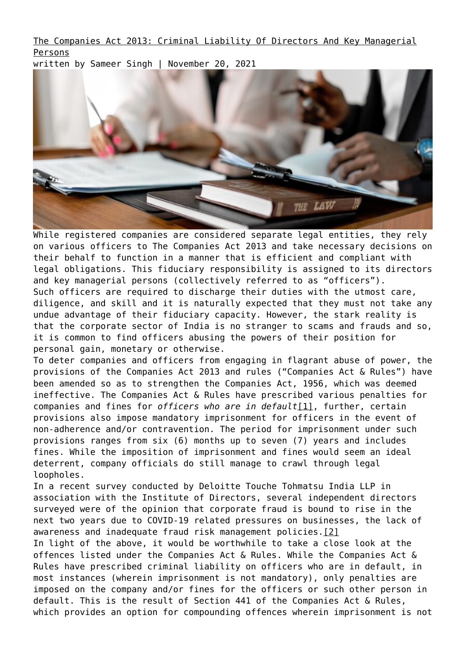[The Companies Act 2013: Criminal Liability Of Directors And Key Managerial](https://ksandk.com/corporate/the-companies-act-2013-criminal-liablility/) [Persons](https://ksandk.com/corporate/the-companies-act-2013-criminal-liablility/)

written by Sameer Singh | November 20, 2021



While registered companies are considered separate legal entities, they rely on various officers to The Companies Act 2013 and take necessary decisions on their behalf to function in a manner that is efficient and compliant with legal obligations. This fiduciary responsibility is assigned to its directors and key managerial persons (collectively referred to as "officers"). Such officers are required to discharge their duties with the utmost care, diligence, and skill and it is naturally expected that they must not take any undue advantage of their fiduciary capacity. However, the stark reality is that the corporate sector of India is no stranger to scams and frauds and so, it is common to find officers abusing the powers of their position for personal gain, monetary or otherwise.

To deter companies and officers from engaging in flagrant abuse of power, the provisions of the Companies Act 2013 and rules ("Companies Act & Rules") have been amended so as to strengthen the Companies Act, 1956, which was deemed ineffective. The Companies Act & Rules have prescribed various penalties for companies and fines for *officers who are in default*[\[1\]](#page--1-0), further, certain provisions also impose mandatory imprisonment for officers in the event of non-adherence and/or contravention. The period for imprisonment under such provisions ranges from six (6) months up to seven (7) years and includes fines. While the imposition of imprisonment and fines would seem an ideal deterrent, company officials do still manage to crawl through legal loopholes.

In a recent survey conducted by Deloitte Touche Tohmatsu India LLP in association with the Institute of Directors, several independent directors surveyed were of the opinion that corporate fraud is bound to rise in the next two years due to COVID-19 related pressures on businesses, the lack of awareness and inadequate fraud risk management policies[.\[2\]](#page--1-0)

In light of the above, it would be worthwhile to take a close look at the offences listed under the Companies Act & Rules. While the Companies Act & Rules have prescribed criminal liability on officers who are in default, in most instances (wherein imprisonment is not mandatory), only penalties are imposed on the company and/or fines for the officers or such other person in default. This is the result of Section 441 of the Companies Act & Rules, which provides an option for compounding offences wherein imprisonment is not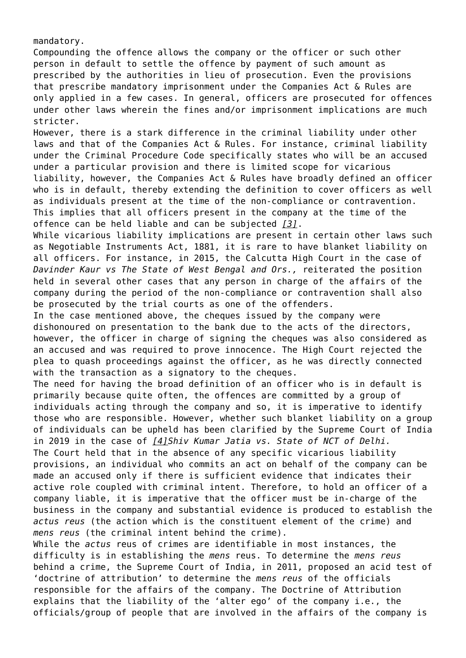mandatory.

Compounding the offence allows the company or the officer or such other person in default to settle the offence by payment of such amount as prescribed by the authorities in lieu of prosecution. Even the provisions that prescribe mandatory imprisonment under the Companies Act & Rules are only applied in a few cases. In general, officers are prosecuted for offences under other laws wherein the fines and/or imprisonment implications are much stricter.

However, there is a stark difference in the criminal liability under other laws and that of the Companies Act & Rules. For instance, criminal liability under the Criminal Procedure Code specifically states who will be an accused under a particular provision and there is limited scope for vicarious liability, however, the Companies Act & Rules have broadly defined an officer who is in default, thereby extending the definition to cover officers as well as individuals present at the time of the non-compliance or contravention. This implies that all officers present in the company at the time of the offence can be held liable and can be subjected *[\[3\]](#page--1-0)*.

While vicarious liability implications are present in certain other laws such as Negotiable Instruments Act, 1881, it is rare to have blanket liability on all officers. For instance, in 2015, the Calcutta High Court in the case of *Davinder Kaur vs The State of West Bengal and Ors.,* reiterated the position held in several other cases that any person in charge of the affairs of the company during the period of the non-compliance or contravention shall also be prosecuted by the trial courts as one of the offenders.

In the case mentioned above, the cheques issued by the company were dishonoured on presentation to the bank due to the acts of the directors, however, the officer in charge of signing the cheques was also considered as an accused and was required to prove innocence. The High Court rejected the plea to quash proceedings against the officer, as he was directly connected with the transaction as a signatory to the cheques.

The need for having the broad definition of an officer who is in default is primarily because quite often, the offences are committed by a group of individuals acting through the company and so, it is imperative to identify those who are responsible. However, whether such blanket liability on a group of individuals can be upheld has been clarified by the Supreme Court of India in 2019 in the case of *[\[4\]S](#page--1-0)hiv Kumar Jatia vs. State of NCT of Delhi.* The Court held that in the absence of any specific vicarious liability provisions, an individual who commits an act on behalf of the company can be made an accused only if there is sufficient evidence that indicates their active role coupled with criminal intent. Therefore, to hold an officer of a company liable, it is imperative that the officer must be in-charge of the business in the company and substantial evidence is produced to establish the *actus reus* (the action which is the constituent element of the crime) and *mens reus* (the criminal intent behind the crime).

While the *actus* reus of crimes are identifiable in most instances, the difficulty is in establishing the *mens* reus. To determine the *mens reus* behind a crime, the Supreme Court of India, in 2011, proposed an acid test of 'doctrine of attribution' to determine the *mens reus* of the officials responsible for the affairs of the company. The Doctrine of Attribution explains that the liability of the 'alter ego' of the company i.e., the officials/group of people that are involved in the affairs of the company is